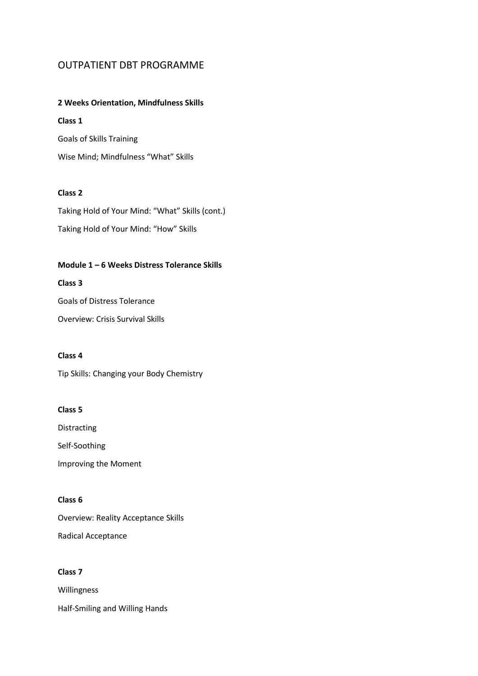# OUTPATIENT DBT PROGRAMME

### **2 Weeks Orientation, Mindfulness Skills**

### **Class 1**

Goals of Skills Training Wise Mind; Mindfulness "What" Skills

## **Class 2**

Taking Hold of Your Mind: "What" Skills (cont.) Taking Hold of Your Mind: "How" Skills

### **Module 1 – 6 Weeks Distress Tolerance Skills**

### **Class 3**

Goals of Distress Tolerance

Overview: Crisis Survival Skills

### **Class 4**

Tip Skills: Changing your Body Chemistry

### **Class 5**

Distracting

Self-Soothing Improving the Moment

#### **Class 6**

Overview: Reality Acceptance Skills Radical Acceptance

### **Class 7**

Willingness Half-Smiling and Willing Hands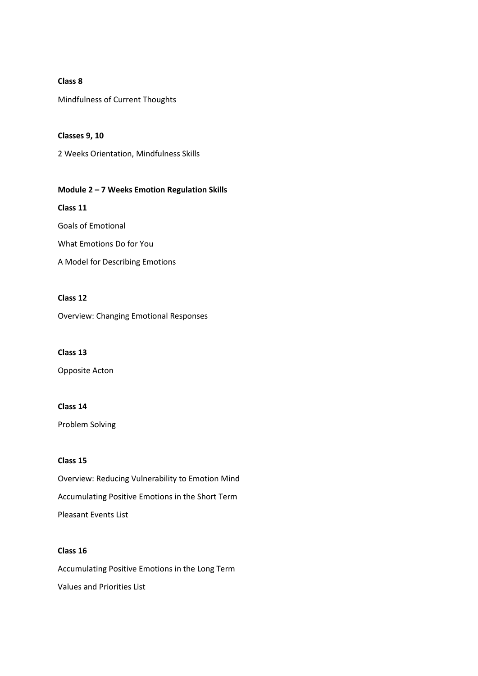#### **Class 8**

Mindfulness of Current Thoughts

**Classes 9, 10**  2 Weeks Orientation, Mindfulness Skills

### **Module 2 – 7 Weeks Emotion Regulation Skills**

**Class 11** Goals of Emotional What Emotions Do for You A Model for Describing Emotions

# **Class 12**

Overview: Changing Emotional Responses

#### **Class 13**

Opposite Acton

#### **Class 14**

Problem Solving

### **Class 15**

Overview: Reducing Vulnerability to Emotion Mind Accumulating Positive Emotions in the Short Term Pleasant Events List

### **Class 16**

Accumulating Positive Emotions in the Long Term Values and Priorities List